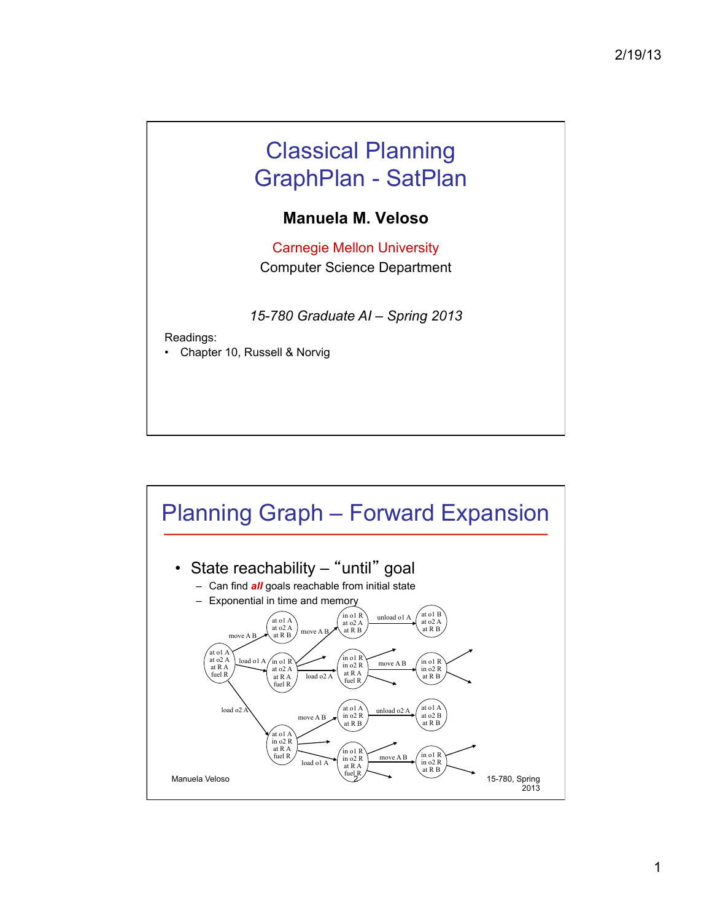## Classical Planning GraphPlan - SatPlan

## **Manuela M. Veloso**

Carnegie Mellon University Computer Science Department

*15-780 Graduate AI – Spring 2013* 

Readings:

• Chapter 10, Russell & Norvig

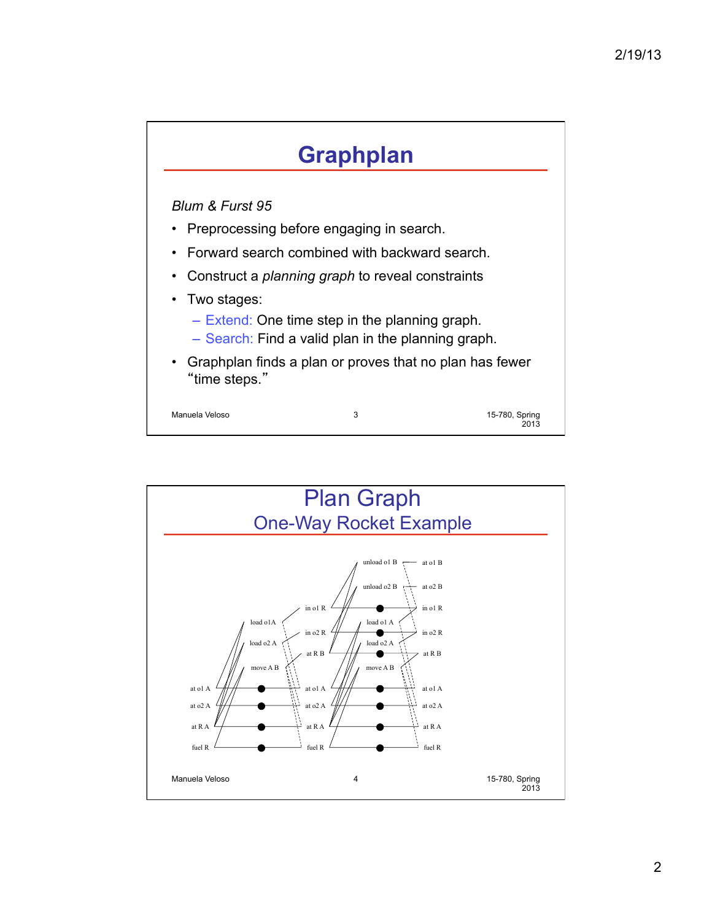## **Graphplan**

## *Blum & Furst 95*

- Preprocessing before engaging in search.
- Forward search combined with backward search.
- Construct a *planning graph* to reveal constraints
- Two stages:
	- Extend: One time step in the planning graph.
	- Search: Find a valid plan in the planning graph.
- Graphplan finds a plan or proves that no plan has fewer "time steps."

Manuela Veloso 3

15-780, Spring 2013

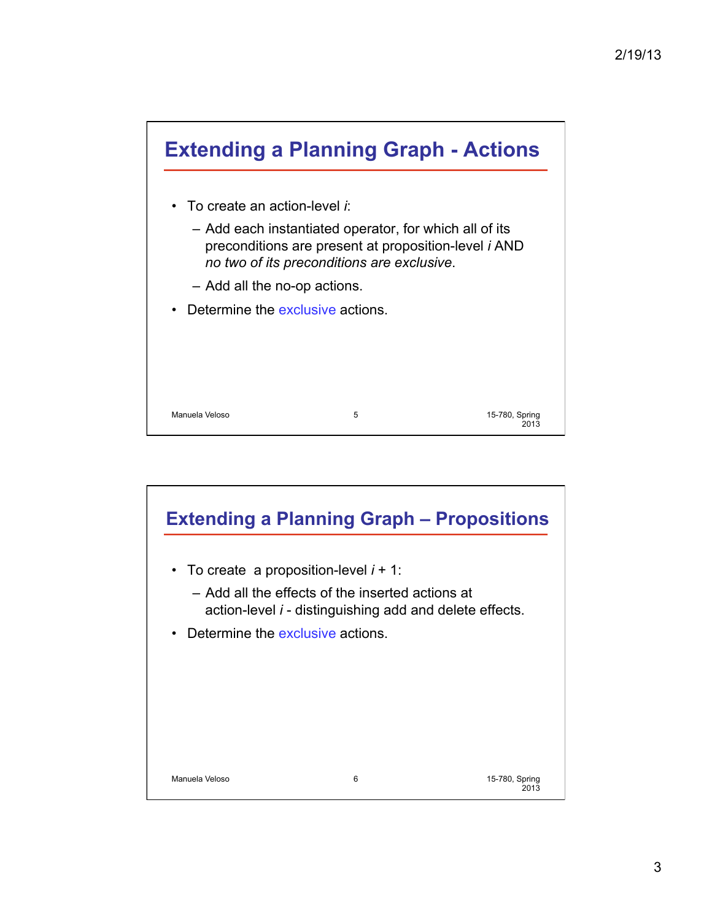

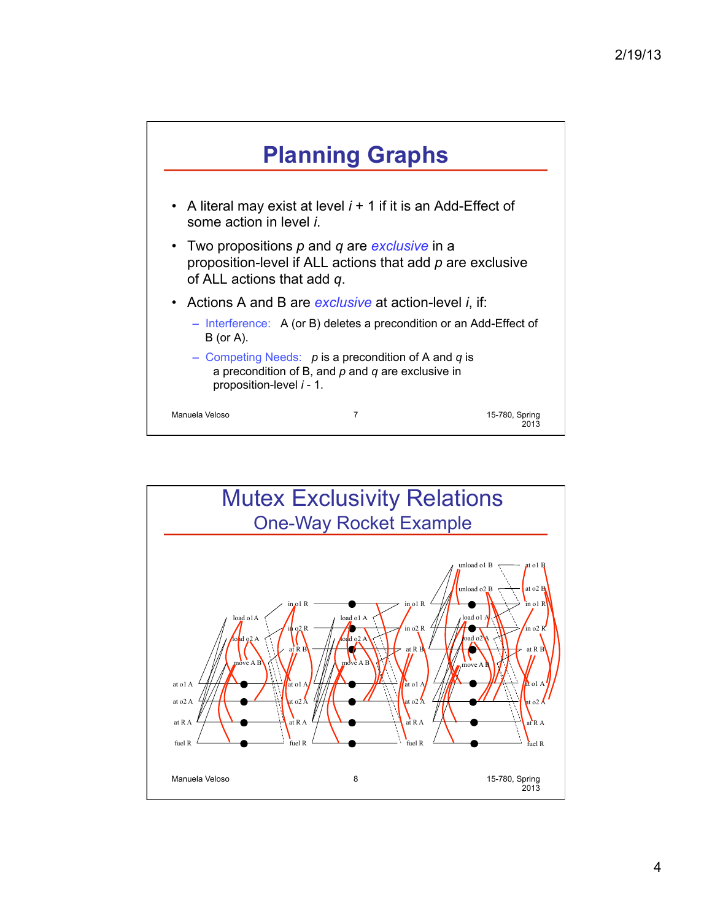

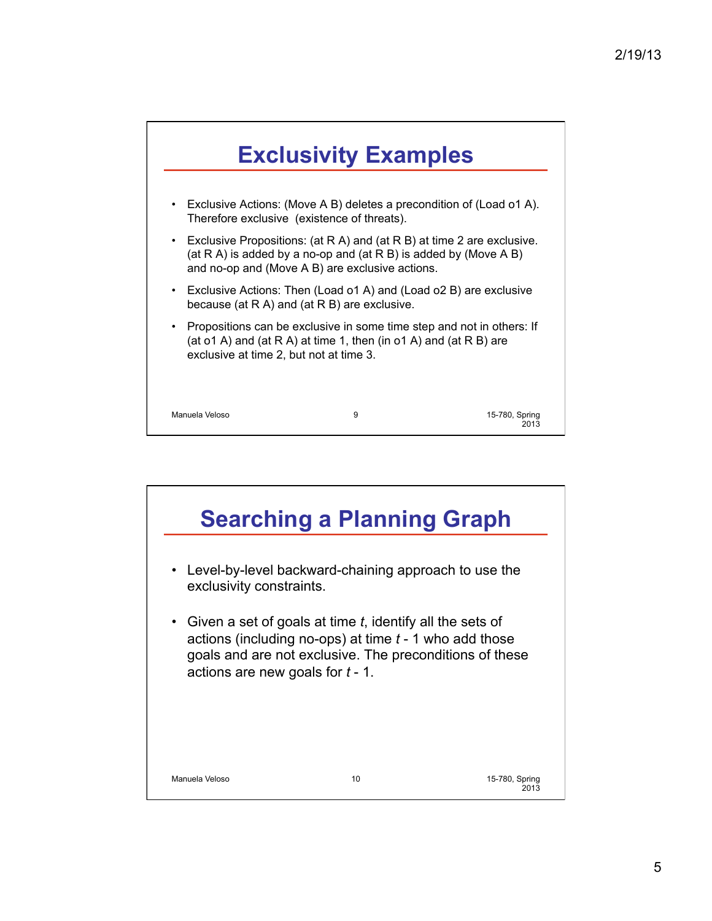

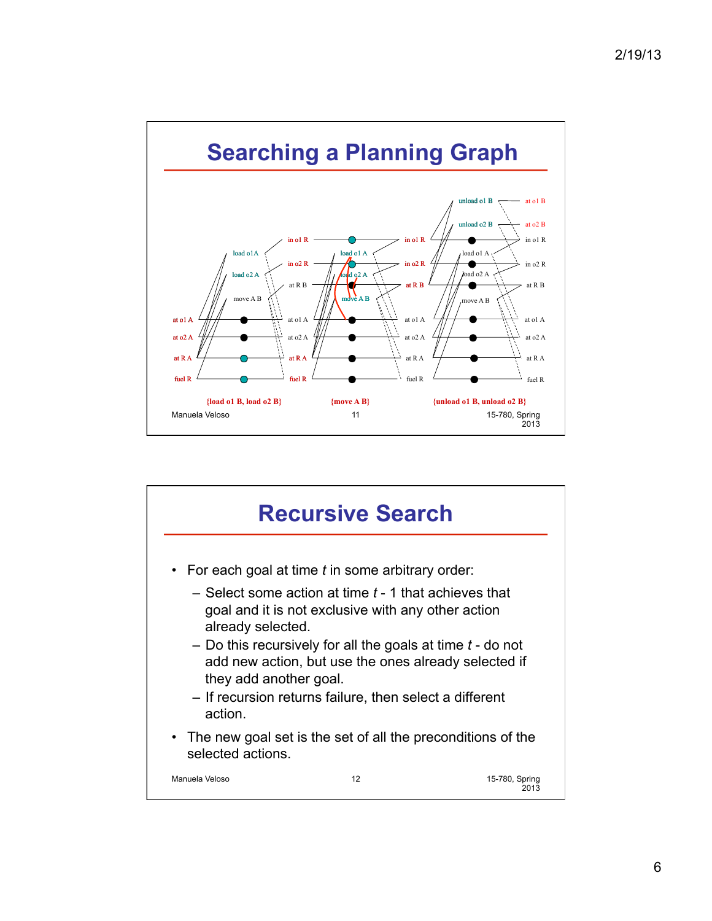

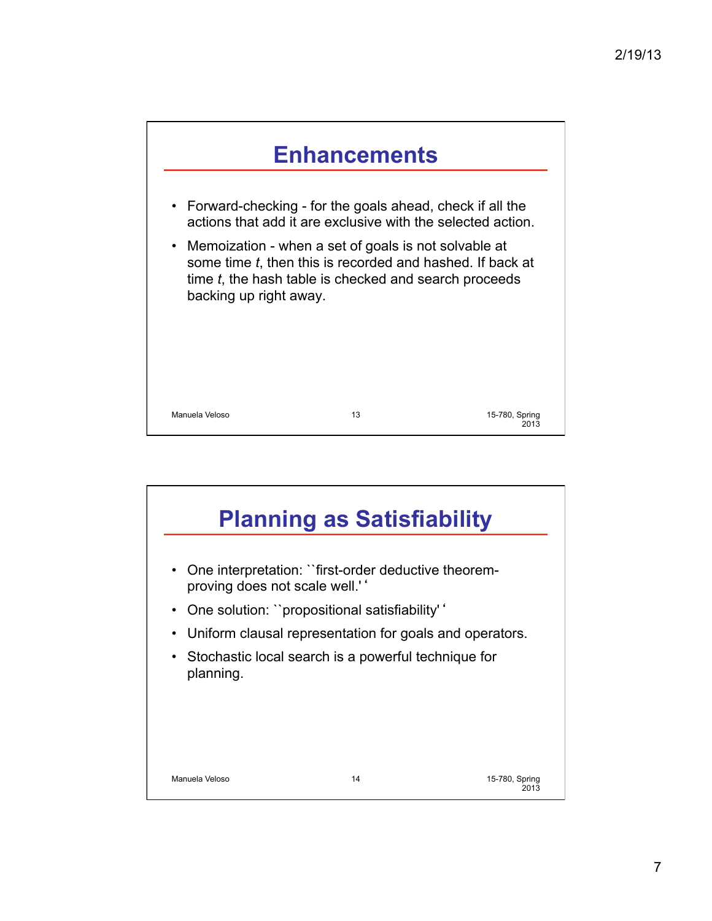